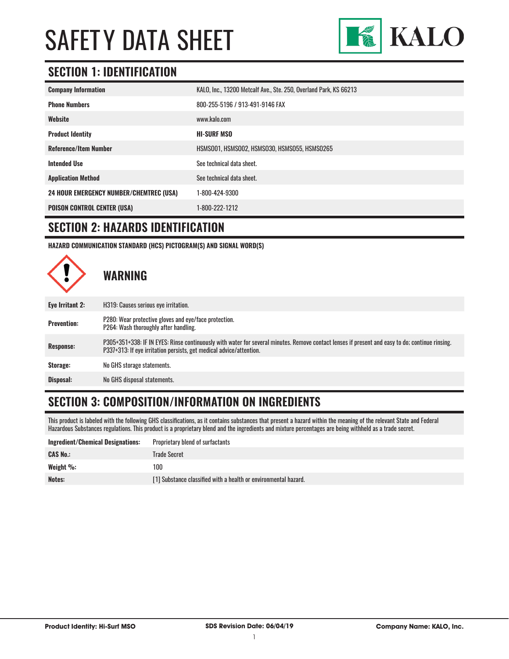

#### **SECTION 1: IDENTIFICATION**

| <b>Company Information</b>                     | KALO, Inc., 13200 Metcalf Ave., Ste. 250, Overland Park, KS 66213 |
|------------------------------------------------|-------------------------------------------------------------------|
| <b>Phone Numbers</b>                           | 800-255-5196 / 913-491-9146 FAX                                   |
| Website                                        | www.kalo.com                                                      |
| <b>Product Identity</b>                        | <b>HI-SURF MSO</b>                                                |
| <b>Reference/Item Number</b>                   | HSMS001, HSMS002, HSMS030, HSMS055, HSMS0265                      |
| <b>Intended Use</b>                            | See technical data sheet.                                         |
| <b>Application Method</b>                      | See technical data sheet.                                         |
| <b>24 HOUR EMERGENCY NUMBER/CHEMTREC (USA)</b> | 1-800-424-9300                                                    |
| <b>POISON CONTROL CENTER (USA)</b>             | 1-800-222-1212                                                    |

#### **SECTION 2: HAZARDS IDENTIFICATION**

**HAZARD COMMUNICATION STANDARD (HCS) PICTOGRAM(S) AND SIGNAL WORD(S)**



### **SECTION 3: COMPOSITION/INFORMATION ON INGREDIENTS**

This product is labeled with the following GHS classifications, as it contains substances that present a hazard within the meaning of the relevant State and Federal Hazardous Substances regulations. This product is a proprietary blend and the ingredients and mixture percentages are being withheld as a trade secret.

| <b>Ingredient/Chemical Designations:</b> | Proprietary blend of surfactants                                |
|------------------------------------------|-----------------------------------------------------------------|
| <b>CAS No.:</b>                          | Trade Secret                                                    |
| Weight $\%$ :                            | 100                                                             |
| Notes:                                   | [1] Substance classified with a health or environmental hazard. |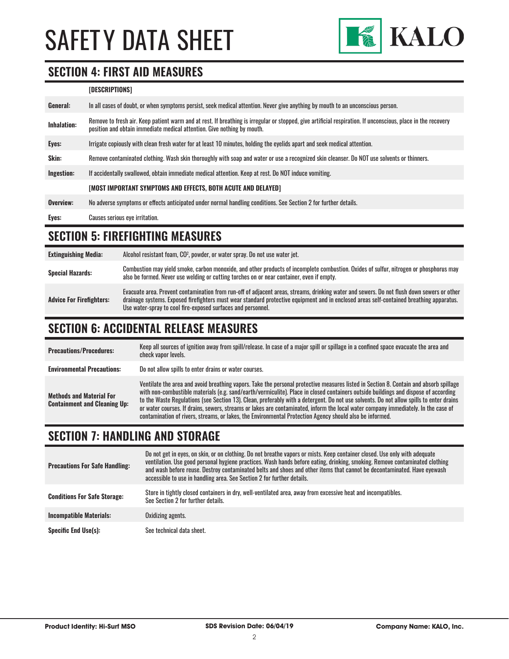

#### **SECTION 4: FIRST AID MEASURES**

#### **[DESCRIPTIONS]**

| General:    | In all cases of doubt, or when symptoms persist, seek medical attention. Never give anything by mouth to an unconscious person.                                                                                                         |
|-------------|-----------------------------------------------------------------------------------------------------------------------------------------------------------------------------------------------------------------------------------------|
| Inhalation: | Remove to fresh air. Keep patient warm and at rest. If breathing is irregular or stopped, give artificial respiration. If unconscious, place in the recovery<br>position and obtain immediate medical attention. Give nothing by mouth. |
| Eyes:       | Irrigate copiously with clean fresh water for at least 10 minutes, holding the eyelids apart and seek medical attention.                                                                                                                |
| Skin:       | Remove contaminated clothing. Wash skin thoroughly with soap and water or use a recognized skin cleanser. Do NOT use solvents or thinners.                                                                                              |
| Ingestion:  | If accidentally swallowed, obtain immediate medical attention. Keep at rest, Do NOT induce vomiting.                                                                                                                                    |
|             | [MOST IMPORTANT SYMPTOMS AND EFFECTS, BOTH ACUTE AND DELAYED]                                                                                                                                                                           |
| Overview:   | No adverse symptoms or effects anticipated under normal handling conditions. See Section 2 for further details.                                                                                                                         |
| Eyes:       | Causes serious eye irritation.                                                                                                                                                                                                          |

### **SECTION 5: FIREFIGHTING MEASURES**

| <b>Extinguishing Media:</b>     | Alcohol resistant foam, CO <sup>2</sup> , powder, or water spray. Do not use water jet.                                                                                                                                                                                                                                                                |
|---------------------------------|--------------------------------------------------------------------------------------------------------------------------------------------------------------------------------------------------------------------------------------------------------------------------------------------------------------------------------------------------------|
| <b>Special Hazards:</b>         | Combustion may yield smoke, carbon monoxide, and other products of incomplete combustion. Oxides of sulfur, nitrogen or phosphorus may<br>also be formed. Never use welding or cutting torches on or near container, even if empty.                                                                                                                    |
| <b>Advice For Firefighters:</b> | Evacuate area. Prevent contamination from run-off of adjacent areas, streams, drinking water and sewers. Do not flush down sewers or other<br>drainage systems. Exposed firefighters must wear standard protective equipment and in enclosed areas self-contained breathing apparatus.<br>Use water-spray to cool fire-exposed surfaces and personnel. |

# **SECTION 6: ACCIDENTAL RELEASE MEASURES**

| <b>Precautions/Procedures:</b>                                         | Keep all sources of ignition away from spill/release. In case of a major spill or spillage in a confined space evacuate the area and<br>check vapor levels.                                                                                                                                                                                                                                                                                                                                                                                                                                                                                                               |
|------------------------------------------------------------------------|---------------------------------------------------------------------------------------------------------------------------------------------------------------------------------------------------------------------------------------------------------------------------------------------------------------------------------------------------------------------------------------------------------------------------------------------------------------------------------------------------------------------------------------------------------------------------------------------------------------------------------------------------------------------------|
| <b>Environmental Precautions:</b>                                      | Do not allow spills to enter drains or water courses.                                                                                                                                                                                                                                                                                                                                                                                                                                                                                                                                                                                                                     |
| <b>Methods and Material For</b><br><b>Containment and Cleaning Up:</b> | Ventilate the area and avoid breathing vapors. Take the personal protective measures listed in Section 8. Contain and absorb spillage<br>with non-combustible materials (e.g. sand/earth/vermiculite). Place in closed containers outside buildings and dispose of according<br>to the Waste Regulations (see Section 13). Clean, preferably with a detergent. Do not use solvents. Do not allow spills to enter drains<br>or water courses. If drains, sewers, streams or lakes are contaminated, inform the local water company immediately. In the case of<br>contamination of rivers, streams, or lakes, the Environmental Protection Agency should also be informed. |

#### **SECTION 7: HANDLING AND STORAGE**

| <b>Precautions For Safe Handling:</b> | Do not get in eyes, on skin, or on clothing. Do not breathe vapors or mists. Keep container closed. Use only with adequate<br>ventilation. Use good personal hygiene practices. Wash hands before eating, drinking, smoking. Remove contaminated clothing<br>and wash before reuse. Destrov contaminated belts and shoes and other items that cannot be decontaminated. Have evewash<br>accessible to use in handling area. See Section 2 for further details. |
|---------------------------------------|----------------------------------------------------------------------------------------------------------------------------------------------------------------------------------------------------------------------------------------------------------------------------------------------------------------------------------------------------------------------------------------------------------------------------------------------------------------|
| <b>Conditions For Safe Storage:</b>   | Store in tightly closed containers in dry, well-ventilated area, away from excessive heat and incompatibles.<br>See Section 2 for further details.                                                                                                                                                                                                                                                                                                             |
| <b>Incompatible Materials:</b>        | Oxidizing agents.                                                                                                                                                                                                                                                                                                                                                                                                                                              |
| <b>Specific End Use(s):</b>           | See technical data sheet.                                                                                                                                                                                                                                                                                                                                                                                                                                      |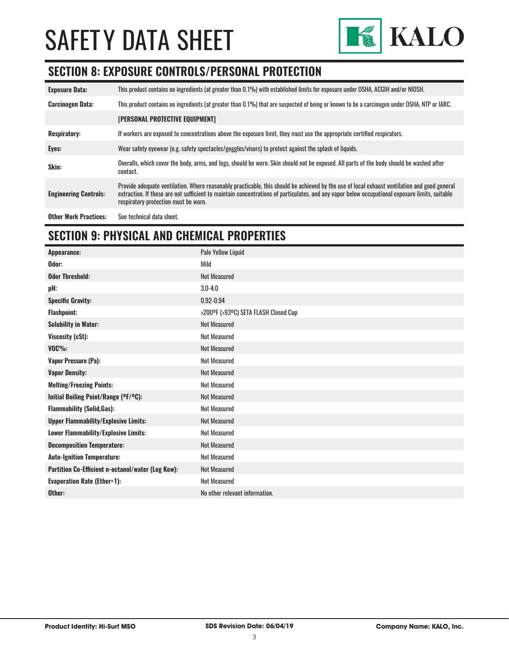

### **SECTION 8: EXPOSURE CONTROLS/PERSONAL PROTECTION**

| <b>Exposure Data:</b>        | This product contains no ingredients (at greater than 0.1%) with established limits for exposure under OSHA, ACGIH and/or NIOSH.                                                                                                                                                                                                       |
|------------------------------|----------------------------------------------------------------------------------------------------------------------------------------------------------------------------------------------------------------------------------------------------------------------------------------------------------------------------------------|
| <b>Carcinogen Data:</b>      | This product contains no ingredients (at greater than 0.1%) that are suspected of being or known to be a carcinogen under OSHA, NTP or IARC.                                                                                                                                                                                           |
|                              | <b>[PERSONAL PROTECTIVE EQUIPMENT]</b>                                                                                                                                                                                                                                                                                                 |
| <b>Respiratory:</b>          | If workers are exposed to concentrations above the exposure limit, they must use the appropriate certified respirators.                                                                                                                                                                                                                |
| Eyes:                        | Wear safety eyewear (e.g. safety spectacles/goggles/visors) to protect against the splash of liquids.                                                                                                                                                                                                                                  |
| Skin:                        | Overalls, which cover the body, arms, and legs, should be worn. Skin should not be exposed. All parts of the body should be washed after<br>contact.                                                                                                                                                                                   |
| <b>Engineering Controls:</b> | Provide adequate ventilation. Where reasonably practicable, this should be achieved by the use of local exhaust ventilation and good general<br>extraction. If these are not sufficient to maintain concentrations of particulates, and any vapor below occupational exposure limits, suitable<br>respiratory protection must be worn. |
| <b>Other Work Practices:</b> | See technical data sheet.                                                                                                                                                                                                                                                                                                              |

# **SECTION 9: PHYSICAL AND CHEMICAL PROPERTIES**

| Appearance:                                       | Pale Yellow Liquid                   |
|---------------------------------------------------|--------------------------------------|
| Odor:                                             | Mild                                 |
| <b>Odor Threshold:</b>                            | <b>Not Measured</b>                  |
| pH:                                               | $3.0 - 4.0$                          |
| <b>Specific Gravity:</b>                          | $0.92 - 0.94$                        |
| <b>Flashpoint:</b>                                | >200°F (>93°C) SETA FLASH Closed Cup |
| <b>Solubility in Water:</b>                       | <b>Not Measured</b>                  |
| Viscosity (cSt):                                  | <b>Not Measured</b>                  |
| $VOC\%$ :                                         | <b>Not Measured</b>                  |
| <b>Vapor Pressure (Pa):</b>                       | <b>Not Measured</b>                  |
| <b>Vapor Density:</b>                             | <b>Not Measured</b>                  |
| <b>Melting/Freezing Points:</b>                   | <b>Not Measured</b>                  |
| Initial Boiling Point/Range (OF/OC):              | <b>Not Measured</b>                  |
| <b>Flammability (Solid, Gas):</b>                 | <b>Not Measured</b>                  |
| <b>Upper Flammability/Explosive Limits:</b>       | <b>Not Measured</b>                  |
| Lower Flammability/Explosive Limits:              | <b>Not Measured</b>                  |
| <b>Decomposition Temperature:</b>                 | <b>Not Measured</b>                  |
| <b>Auto-Ignition Temperature:</b>                 | <b>Not Measured</b>                  |
| Partition Co-Efficient n-octanol/water (Log Kow): | <b>Not Measured</b>                  |
| <b>Evaporation Rate (Ether=1):</b>                | <b>Not Measured</b>                  |
| Other:                                            | No other relevant information.       |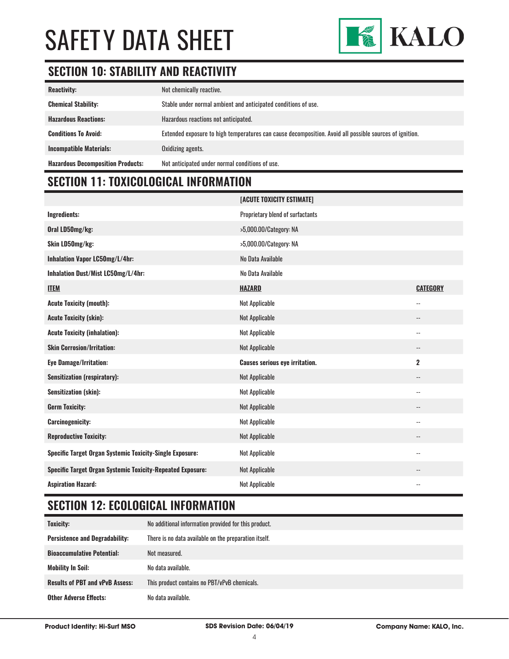

### **SECTION 10: STABILITY AND REACTIVITY**

| <b>Reactivity:</b>                       | Not chemically reactive.                                                                                |
|------------------------------------------|---------------------------------------------------------------------------------------------------------|
| <b>Chemical Stability:</b>               | Stable under normal ambient and anticipated conditions of use.                                          |
| <b>Hazardous Reactions:</b>              | Hazardous reactions not anticipated.                                                                    |
| <b>Conditions To Avoid:</b>              | Extended exposure to high temperatures can cause decomposition. Avoid all possible sources of ignition. |
| <b>Incompatible Materials:</b>           | Oxidizing agents.                                                                                       |
| <b>Hazardous Decomposition Products:</b> | Not anticipated under normal conditions of use.                                                         |

# **SECTION 11: TOXICOLOGICAL INFORMATION**

|                                                                   | [ACUTE TOXICITY ESTIMATE]             |                            |
|-------------------------------------------------------------------|---------------------------------------|----------------------------|
| <b>Ingredients:</b>                                               | Proprietary blend of surfactants      |                            |
| Oral LD50mg/kg:                                                   | >5,000.00/Category: NA                |                            |
| Skin LD50mg/kg:                                                   | >5,000.00/Category: NA                |                            |
| Inhalation Vapor LC50mg/L/4hr:                                    | No Data Available                     |                            |
| Inhalation Dust/Mist LC50mg/L/4hr:                                | No Data Available                     |                            |
| <b>ITEM</b>                                                       | <b>HAZARD</b>                         | <b>CATEGORY</b>            |
| <b>Acute Toxicity (mouth):</b>                                    | <b>Not Applicable</b>                 | $\overline{\phantom{a}}$   |
| <b>Acute Toxicity (skin):</b>                                     | Not Applicable                        | --                         |
| <b>Acute Toxicity (inhalation):</b>                               | Not Applicable                        | $\overline{\phantom{a}}$ . |
| <b>Skin Corrosion/Irritation:</b>                                 | Not Applicable                        | $\overline{\phantom{a}}$   |
| <b>Eye Damage/Irritation:</b>                                     | <b>Causes serious eye irritation.</b> | $\overline{2}$             |
| <b>Sensitization (respiratory):</b>                               | Not Applicable                        | --                         |
| Sensitization (skin):                                             | Not Applicable                        | $\overline{\phantom{a}}$   |
| <b>Germ Toxicity:</b>                                             | Not Applicable                        | --                         |
| <b>Carcinogenicity:</b>                                           | Not Applicable                        | --                         |
| <b>Reproductive Toxicity:</b>                                     | Not Applicable                        | --                         |
| <b>Specific Target Organ Systemic Toxicity-Single Exposure:</b>   | Not Applicable                        | --                         |
| <b>Specific Target Organ Systemic Toxicity-Repeated Exposure:</b> | Not Applicable                        | --                         |
| <b>Aspiration Hazard:</b>                                         | Not Applicable                        | $-$                        |

# **SECTION 12: ECOLOGICAL INFORMATION**

| Toxicity:                              | No additional information provided for this product.  |
|----------------------------------------|-------------------------------------------------------|
| <b>Persistence and Degradability:</b>  | There is no data available on the preparation itself. |
| <b>Bioaccumulative Potential:</b>      | Not measured.                                         |
| <b>Mobility In Soil:</b>               | No data available.                                    |
| <b>Results of PBT and vPvB Assess:</b> | This product contains no PBT/vPvB chemicals.          |
| <b>Other Adverse Effects:</b>          | No data available.                                    |